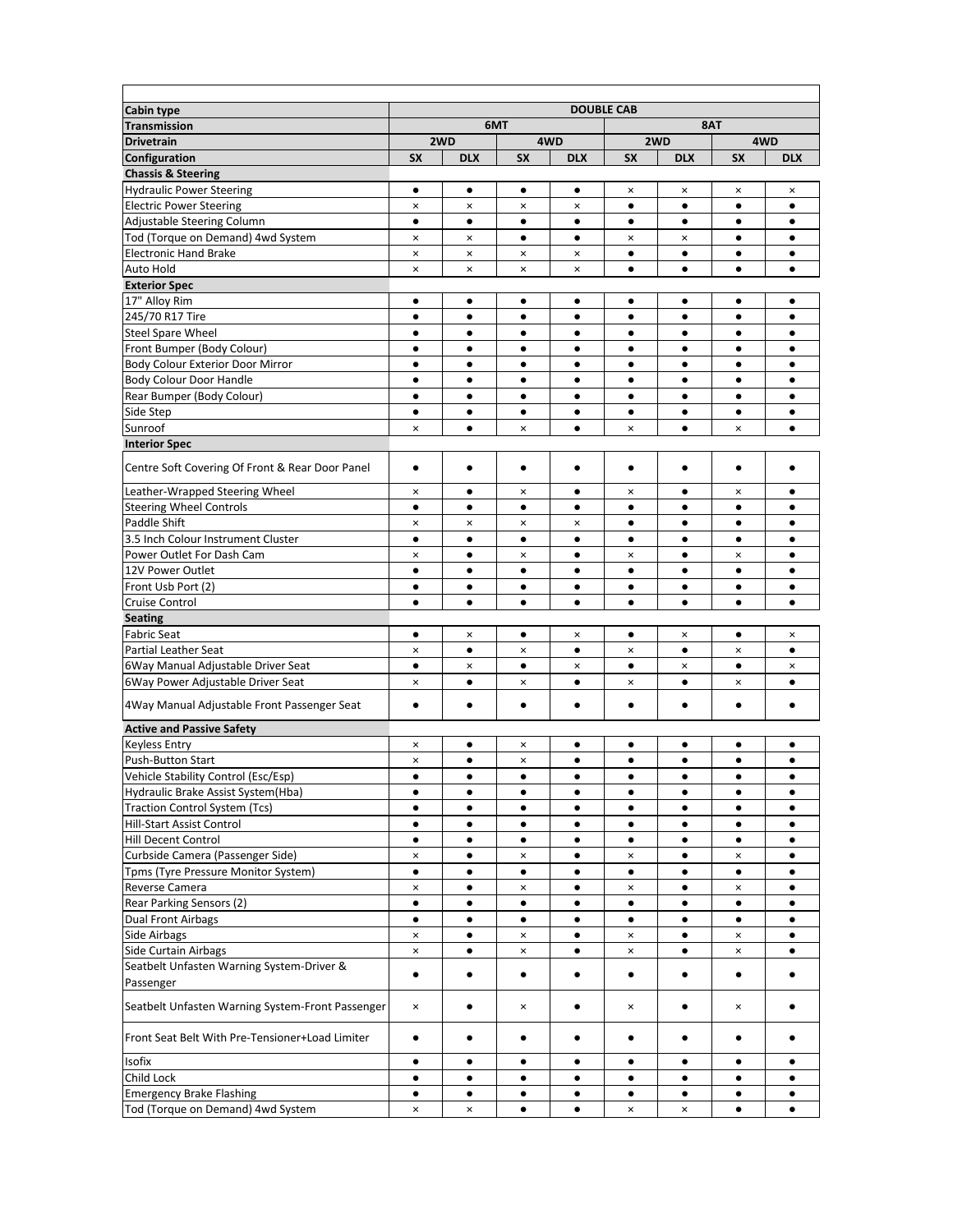| <b>Cabin type</b>                                |                |                |                |                | <b>DOUBLE CAB</b> |                |                |                |  |  |
|--------------------------------------------------|----------------|----------------|----------------|----------------|-------------------|----------------|----------------|----------------|--|--|
| <b>Transmission</b>                              | 6MT            |                |                |                |                   |                | 8AT            |                |  |  |
| <b>Drivetrain</b>                                |                | 2WD            | 4WD            |                | 2WD               |                | 4WD            |                |  |  |
| <b>Configuration</b>                             | <b>SX</b>      | <b>DLX</b>     | <b>SX</b>      | <b>DLX</b>     | <b>SX</b>         | <b>DLX</b>     | <b>SX</b>      | <b>DLX</b>     |  |  |
| <b>Chassis &amp; Steering</b>                    |                |                |                |                |                   |                |                |                |  |  |
| <b>Hydraulic Power Steering</b>                  | $\bullet$      | ٠              | $\bullet$      | $\bullet$      | ×                 | ×              | $\pmb{\times}$ | ×              |  |  |
| <b>Electric Power Steering</b>                   | $\pmb{\times}$ | ×              | ×              | ×              | $\bullet$         | $\bullet$      | $\bullet$      | ٠              |  |  |
| Adjustable Steering Column                       | $\bullet$      | $\bullet$      | $\bullet$      | ٠              | ٠                 | ٠              | ٠              | ٠              |  |  |
| Tod (Torque on Demand) 4wd System                | $\pmb{\times}$ | $\pmb{\times}$ | $\bullet$      | $\bullet$      | $\pmb{\times}$    | $\pmb{\times}$ | $\bullet$      | $\bullet$      |  |  |
| <b>Electronic Hand Brake</b>                     | $\pmb{\times}$ | $\pmb{\times}$ | ×              | $\pmb{\times}$ | $\bullet$         | $\bullet$      | $\bullet$      | $\bullet$      |  |  |
| Auto Hold                                        | $\pmb{\times}$ | $\pmb{\times}$ | ×              | ×              | $\bullet$         | $\bullet$      | $\bullet$      | $\bullet$      |  |  |
| <b>Exterior Spec</b>                             |                |                |                |                |                   |                |                |                |  |  |
| 17" Alloy Rim                                    | ٠              | ٠              | ٠              | ٠              | ٠                 | ٠              | $\bullet$      | ٠              |  |  |
| 245/70 R17 Tire                                  | $\bullet$      | $\bullet$      | $\bullet$      | $\bullet$      | $\bullet$         | $\bullet$      | $\bullet$      | $\bullet$      |  |  |
| <b>Steel Spare Wheel</b>                         | $\bullet$      | $\bullet$      | $\bullet$      | ٠              | ٠                 | ٠              | $\bullet$      | $\bullet$      |  |  |
| Front Bumper (Body Colour)                       | $\bullet$      | $\bullet$      | $\bullet$      | $\bullet$      | $\bullet$         | $\bullet$      | $\bullet$      | $\bullet$      |  |  |
| Body Colour Exterior Door Mirror                 | $\bullet$      | $\bullet$      | $\bullet$      | ٠              | ٠                 | ٠              | $\bullet$      | ٠              |  |  |
| Body Colour Door Handle                          | ٠              | ٠              | ٠              | ٠              | ٠                 | ٠              | ٠              | ٠              |  |  |
| Rear Bumper (Body Colour)                        | $\bullet$      | $\bullet$      | $\bullet$      | $\bullet$      | $\bullet$         | $\bullet$      | $\bullet$      |                |  |  |
| Side Step                                        | $\bullet$      | $\bullet$      | $\bullet$      | $\bullet$      | $\bullet$         | $\bullet$      | $\bullet$      | $\bullet$      |  |  |
| Sunroof                                          | $\pmb{\times}$ | $\bullet$      | ×              | $\bullet$      | $\pmb{\times}$    | $\bullet$      | $\pmb{\times}$ | $\bullet$      |  |  |
| <b>Interior Spec</b>                             |                |                |                |                |                   |                |                |                |  |  |
|                                                  |                |                |                |                |                   |                |                |                |  |  |
| Centre Soft Covering Of Front & Rear Door Panel  | ٠              | ٠              | ٠              | ٠              | ٠                 | ٠              | $\bullet$      |                |  |  |
| Leather-Wrapped Steering Wheel                   | $\pmb{\times}$ | $\bullet$      | ×              | ٠              | $\pmb{\times}$    | ٠              | $\pmb{\times}$ | ٠              |  |  |
| <b>Steering Wheel Controls</b>                   | $\bullet$      | $\bullet$      | $\bullet$      | $\bullet$      | $\bullet$         | $\bullet$      | $\bullet$      | $\bullet$      |  |  |
| Paddle Shift                                     | $\pmb{\times}$ | ×              | ×              | ×              | $\bullet$         | $\bullet$      | $\bullet$      | ٠              |  |  |
| 3.5 Inch Colour Instrument Cluster               | $\bullet$      | $\bullet$      | ٠              | ٠              | ٠                 | ٠              | ٠              | ٠              |  |  |
| Power Outlet For Dash Cam                        | $\pmb{\times}$ | $\bullet$      | ×              | $\bullet$      | $\pmb{\times}$    | $\bullet$      | $\pmb{\times}$ | $\bullet$      |  |  |
| 12V Power Outlet                                 | $\bullet$      | $\bullet$      | $\bullet$      | $\bullet$      | $\bullet$         | $\bullet$      | $\bullet$      | $\bullet$      |  |  |
| Front Usb Port (2)                               | $\bullet$      | $\bullet$      | $\bullet$      | ٠              | $\bullet$         | $\bullet$      | $\bullet$      | $\bullet$      |  |  |
| Cruise Control                                   | $\bullet$      | $\bullet$      | ٠              | ٠              | $\bullet$         | $\bullet$      | $\bullet$      | $\bullet$      |  |  |
| <b>Seating</b>                                   |                |                |                |                |                   |                |                |                |  |  |
| <b>Fabric Seat</b>                               | $\bullet$      | $\pmb{\times}$ | $\bullet$      | $\pmb{\times}$ | $\bullet$         | $\pmb{\times}$ | $\bullet$      | $\pmb{\times}$ |  |  |
| <b>Partial Leather Seat</b>                      | $\pmb{\times}$ | $\bullet$      | ×              | $\bullet$      | $\pmb{\times}$    | $\bullet$      | $\pmb{\times}$ | $\bullet$      |  |  |
| 6Way Manual Adjustable Driver Seat               | $\bullet$      | $\pmb{\times}$ | $\bullet$      | ×              | $\bullet$         | $\pmb{\times}$ | $\bullet$      | ×              |  |  |
| 6Way Power Adjustable Driver Seat                | $\pmb{\times}$ | $\bullet$      | ×              | $\bullet$      | ×                 | $\bullet$      | ×              | $\bullet$      |  |  |
|                                                  |                |                |                |                |                   |                |                |                |  |  |
| 4Way Manual Adjustable Front Passenger Seat      | ٠              | ٠              | ٠              | ٠              | ٠                 | ٠              | $\bullet$      |                |  |  |
| <b>Active and Passive Safety</b>                 |                |                |                |                |                   |                |                |                |  |  |
| <b>Keyless Entry</b>                             | ×              | ٠              | ×              | ٠              | ٠                 | ٠              | ٠              | ٠              |  |  |
| <b>Push-Button Start</b>                         | ×              | ٠              | ×              | ٠              | ٠                 | ٠              | ٠              |                |  |  |
| Vehicle Stability Control (Esc/Esp)              | $\bullet$      | $\bullet$      | $\bullet$      | $\bullet$      | $\bullet$         | $\bullet$      | $\bullet$      | $\bullet$      |  |  |
| Hydraulic Brake Assist System(Hba)               | ٠              | ٠              | ٠              | ٠              | ٠                 | ٠              | ٠              | ٠              |  |  |
| <b>Traction Control System (Tcs)</b>             | $\bullet$      | $\bullet$      | $\bullet$      | ٠              | $\bullet$         | $\bullet$      | $\bullet$      | ٠              |  |  |
| Hill-Start Assist Control                        | ٠              | ٠              | ٠              | ٠              | ٠                 | ٠              | ٠              | ٠              |  |  |
| Hill Decent Control                              | $\bullet$      | $\bullet$      | $\bullet$      | $\bullet$      | $\bullet$         | $\bullet$      | $\bullet$      | ٠              |  |  |
| Curbside Camera (Passenger Side)                 | $\pmb{\times}$ | $\bullet$      | ×              | ٠              | $\pmb{\times}$    | $\bullet$      | $\pmb{\times}$ | ٠              |  |  |
| Tpms (Tyre Pressure Monitor System)              | $\bullet$      | ٠              | $\bullet$      | ٠              | $\bullet$         | $\bullet$      | ٠              | ٠              |  |  |
| Reverse Camera                                   | $\pmb{\times}$ | $\bullet$      | ×              | $\bullet$      | ×                 | $\bullet$      | $\pmb{\times}$ | ٠              |  |  |
| Rear Parking Sensors (2)                         | $\bullet$      | ٠              | ٠              | ٠              | ٠                 | ٠              | ٠              | ٠              |  |  |
| <b>Dual Front Airbags</b>                        | $\bullet$      | $\bullet$      | $\bullet$      | ٠              | ٠                 | ٠              | $\bullet$      | ٠              |  |  |
| Side Airbags                                     | $\pmb{\times}$ | $\bullet$      | $\pmb{\times}$ | $\bullet$      | $\pmb{\times}$    | $\bullet$      | $\pmb{\times}$ | $\bullet$      |  |  |
| Side Curtain Airbags                             | $\pmb{\times}$ | $\bullet$      | ×              | ٠              | $\pmb{\times}$    | $\bullet$      | $\pmb{\times}$ | ٠              |  |  |
| Seatbelt Unfasten Warning System-Driver &        |                |                |                |                |                   |                |                |                |  |  |
| Passenger                                        | $\bullet$      | $\bullet$      | $\bullet$      | $\bullet$      | $\bullet$         | $\bullet$      | $\bullet$      | $\bullet$      |  |  |
| Seatbelt Unfasten Warning System-Front Passenger | $\pmb{\times}$ | ٠              | ×              | ٠              | ×                 | $\bullet$      | ×              | ٠              |  |  |
| Front Seat Belt With Pre-Tensioner+Load Limiter  | $\bullet$      | ٠              | $\bullet$      | ٠              | ٠                 | $\bullet$      | ٠              | ٠              |  |  |
| Isofix                                           | ٠              | ٠              | ٠              | ٠              | ٠                 | ٠              | ٠              | ٠              |  |  |
| Child Lock                                       | $\bullet$      | ٠              | ٠              |                | ٠                 | ٠              | ٠              |                |  |  |
| <b>Emergency Brake Flashing</b>                  | $\bullet$      | $\bullet$      | $\bullet$      | $\bullet$      | $\bullet$         | $\bullet$      | $\bullet$      | $\bullet$      |  |  |
| Tod (Torque on Demand) 4wd System                | $\pmb{\times}$ | $\pmb{\times}$ | $\bullet$      | $\bullet$      | $\pmb{\times}$    | $\pmb{\times}$ | ٠              | $\bullet$      |  |  |
|                                                  |                |                |                |                |                   |                |                |                |  |  |